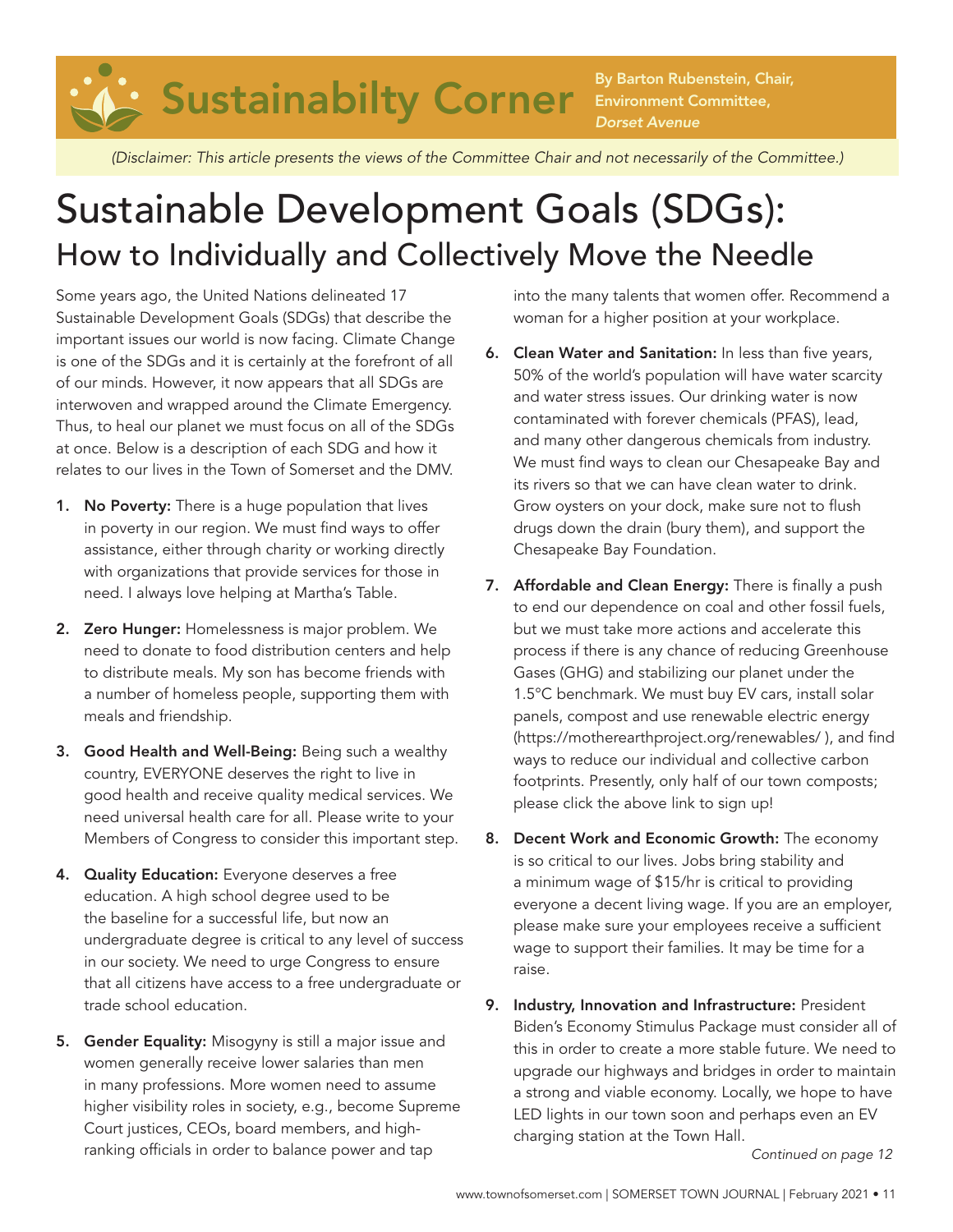

Environment Committee, *Dorset Avenue*

*(Disclaimer: This article presents the views of the Committee Chair and not necessarily of the Committee.)* 

## Sustainable Development Goals (SDGs): How to Individually and Collectively Move the Needle

Some years ago, the United Nations delineated 17 Sustainable Development Goals (SDGs) that describe the important issues our world is now facing. Climate Change is one of the SDGs and it is certainly at the forefront of all of our minds. However, it now appears that all SDGs are interwoven and wrapped around the Climate Emergency. Thus, to heal our planet we must focus on all of the SDGs at once. Below is a description of each SDG and how it relates to our lives in the Town of Somerset and the DMV.

- 1. No Poverty: There is a huge population that lives in poverty in our region. We must find ways to offer assistance, either through charity or working directly with organizations that provide services for those in need. I always love helping at Martha's Table.
- 2. Zero Hunger: Homelessness is major problem. We need to donate to food distribution centers and help to distribute meals. My son has become friends with a number of homeless people, supporting them with meals and friendship.
- 3. Good Health and Well-Being: Being such a wealthy country, EVERYONE deserves the right to live in good health and receive quality medical services. We need universal health care for all. Please write to your Members of Congress to consider this important step.
- 4. Quality Education: Everyone deserves a free education. A high school degree used to be the baseline for a successful life, but now an undergraduate degree is critical to any level of success in our society. We need to urge Congress to ensure that all citizens have access to a free undergraduate or trade school education.
- 5. Gender Equality: Misogyny is still a major issue and women generally receive lower salaries than men in many professions. More women need to assume higher visibility roles in society, e.g., become Supreme Court justices, CEOs, board members, and highranking officials in order to balance power and tap

into the many talents that women offer. Recommend a woman for a higher position at your workplace.

- 6. Clean Water and Sanitation: In less than five years, 50% of the world's population will have water scarcity and water stress issues. Our drinking water is now contaminated with forever chemicals (PFAS), lead, and many other dangerous chemicals from industry. We must find ways to clean our Chesapeake Bay and its rivers so that we can have clean water to drink. Grow oysters on your dock, make sure not to flush drugs down the drain (bury them), and support the Chesapeake Bay Foundation.
- 7. Affordable and Clean Energy: There is finally a push to end our dependence on coal and other fossil fuels, but we must take more actions and accelerate this process if there is any chance of reducing Greenhouse Gases (GHG) and stabilizing our planet under the 1.5°C benchmark. We must buy EV cars, install solar panels, compost and use renewable electric energy (https://motherearthproject.org/renewables/ ), and find ways to reduce our individual and collective carbon footprints. Presently, only half of our town composts; please click the above link to sign up!
- 8. Decent Work and Economic Growth: The economy is so critical to our lives. Jobs bring stability and a minimum wage of \$15/hr is critical to providing everyone a decent living wage. If you are an employer, please make sure your employees receive a sufficient wage to support their families. It may be time for a raise.
- 9. Industry, Innovation and Infrastructure: President Biden's Economy Stimulus Package must consider all of this in order to create a more stable future. We need to upgrade our highways and bridges in order to maintain a strong and viable economy. Locally, we hope to have LED lights in our town soon and perhaps even an EV charging station at the Town Hall.

*Continued on page 12*